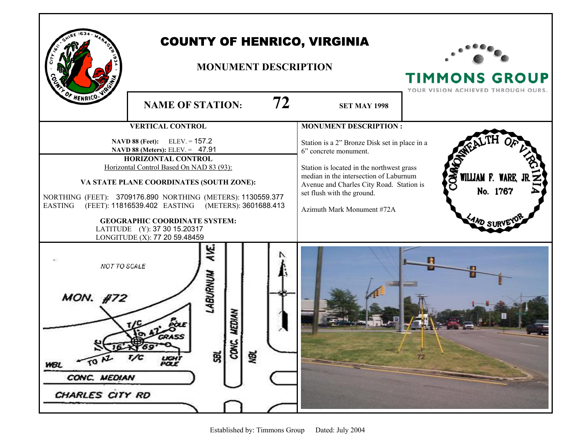